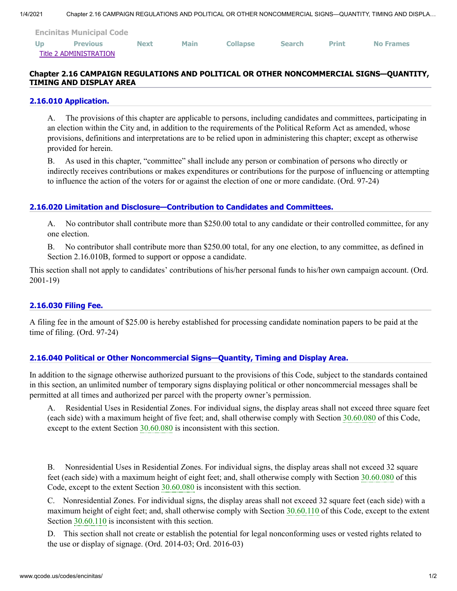| <b>Encinitas Municipal Code</b> |                 |             |             |                 |               |              |                  |
|---------------------------------|-----------------|-------------|-------------|-----------------|---------------|--------------|------------------|
| U <sub>p</sub>                  | <b>Previous</b> | <b>Next</b> | <b>Main</b> | <b>Collapse</b> | <b>Search</b> | <b>Print</b> | <b>No Frames</b> |
| Title 2 ADMINISTRATION          |                 |             |             |                 |               |              |                  |

# **Chapter 2.16 CAMPAIGN REGULATIONS AND POLITICAL OR OTHER NONCOMMERCIAL SIGNS—QUANTITY, TIMING AND DISPLAY AREA**

### **[2.16.010 Application.](http://www.qcode.us/codes/encinitas/view.php?topic=2-2_16-2_16_010&frames=on)**

A. The provisions of this chapter are applicable to persons, including candidates and committees, participating in an election within the City and, in addition to the requirements of the Political Reform Act as amended, whose provisions, definitions and interpretations are to be relied upon in administering this chapter; except as otherwise provided for herein.

B. As used in this chapter, "committee" shall include any person or combination of persons who directly or indirectly receives contributions or makes expenditures or contributions for the purpose of influencing or attempting to influence the action of the voters for or against the election of one or more candidate. (Ord. 97-24)

# **[2.16.020 Limitation and Disclosure—Contribution to Candidates and Committees.](http://www.qcode.us/codes/encinitas/view.php?topic=2-2_16-2_16_020&frames=on)**

A. No contributor shall contribute more than \$250.00 total to any candidate or their controlled committee, for any one election.

B. No contributor shall contribute more than \$250.00 total, for any one election, to any committee, as defined in Section 2.16.010B, formed to support or oppose a candidate.

This section shall not apply to candidates' contributions of his/her personal funds to his/her own campaign account. (Ord. 2001-19)

## **[2.16.030 Filing Fee.](http://www.qcode.us/codes/encinitas/view.php?topic=2-2_16-2_16_030&frames=on)**

A filing fee in the amount of \$25.00 is hereby established for processing candidate nomination papers to be paid at the time of filing. (Ord. 97-24)

## **[2.16.040 Political or Other Noncommercial Signs—Quantity, Timing and Display Area.](http://www.qcode.us/codes/encinitas/view.php?topic=2-2_16-2_16_040&frames=on)**

In addition to the signage otherwise authorized pursuant to the provisions of this Code, subject to the standards contained in this section, an unlimited number of temporary signs displaying political or other noncommercial messages shall be permitted at all times and authorized per parcel with the property owner's permission.

A. Residential Uses in Residential Zones. For individual signs, the display areas shall not exceed three square feet (each side) with a maximum height of five feet; and, shall otherwise comply with Section [30.60.080](http://www.qcode.us/codes/encinitas/view.php?cite=section_30.60.080&confidence=8) of this Code, except to the extent Section [30.60.080](http://www.qcode.us/codes/encinitas/view.php?cite=section_30.60.080&confidence=6) is inconsistent with this section.

B. Nonresidential Uses in Residential Zones. For individual signs, the display areas shall not exceed 32 square feet (each side) with a maximum height of eight feet; and, shall otherwise comply with Section [30.60.080](http://www.qcode.us/codes/encinitas/view.php?cite=section_30.60.080&confidence=8) of this Code, except to the extent Section [30.60.080](http://www.qcode.us/codes/encinitas/view.php?cite=section_30.60.080&confidence=6) is inconsistent with this section.

C. Nonresidential Zones. For individual signs, the display areas shall not exceed 32 square feet (each side) with a maximum height of eight feet; and, shall otherwise comply with Section [30.60.110](http://www.qcode.us/codes/encinitas/view.php?cite=section_30.60.110&confidence=8) of this Code, except to the extent Section [30.60.110](http://www.qcode.us/codes/encinitas/view.php?cite=section_30.60.110&confidence=6) is inconsistent with this section.

D. This section shall not create or establish the potential for legal nonconforming uses or vested rights related to the use or display of signage. (Ord. 2014-03; Ord. 2016-03)